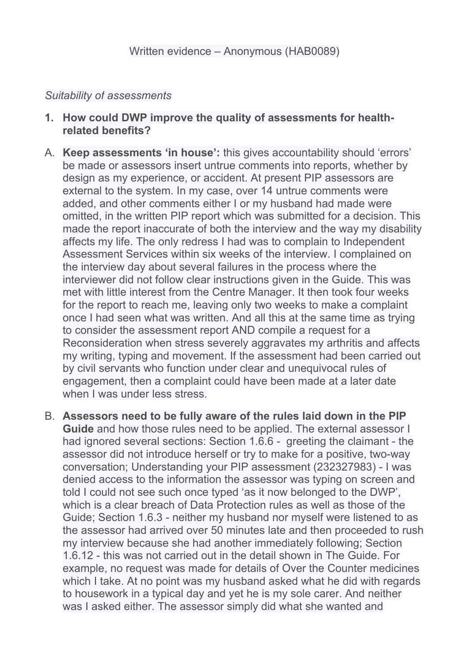### *Suitability of assessments*

- **1. How could DWP improve the quality of assessments for healthrelated benefits?**
- A. **Keep assessments 'in house':** this gives accountability should 'errors' be made or assessors insert untrue comments into reports, whether by design as my experience, or accident. At present PIP assessors are external to the system. In my case, over 14 untrue comments were added, and other comments either I or my husband had made were omitted, in the written PIP report which was submitted for a decision. This made the report inaccurate of both the interview and the way my disability affects my life. The only redress I had was to complain to Independent Assessment Services within six weeks of the interview. I complained on the interview day about several failures in the process where the interviewer did not follow clear instructions given in the Guide. This was met with little interest from the Centre Manager. It then took four weeks for the report to reach me, leaving only two weeks to make a complaint once I had seen what was written. And all this at the same time as trying to consider the assessment report AND compile a request for a Reconsideration when stress severely aggravates my arthritis and affects my writing, typing and movement. If the assessment had been carried out by civil servants who function under clear and unequivocal rules of engagement, then a complaint could have been made at a later date when I was under less stress.
- B. **Assessors need to be fully aware of the rules laid down in the PIP Guide** and how those rules need to be applied. The external assessor I had ignored several sections: Section 1.6.6 - greeting the claimant - the assessor did not introduce herself or try to make for a positive, two-way conversation; Understanding your PIP assessment (232327983) - I was denied access to the information the assessor was typing on screen and told I could not see such once typed 'as it now belonged to the DWP', which is a clear breach of Data Protection rules as well as those of the Guide; Section 1.6.3 - neither my husband nor myself were listened to as the assessor had arrived over 50 minutes late and then proceeded to rush my interview because she had another immediately following; Section 1.6.12 - this was not carried out in the detail shown in The Guide. For example, no request was made for details of Over the Counter medicines which I take. At no point was my husband asked what he did with regards to housework in a typical day and yet he is my sole carer. And neither was I asked either. The assessor simply did what she wanted and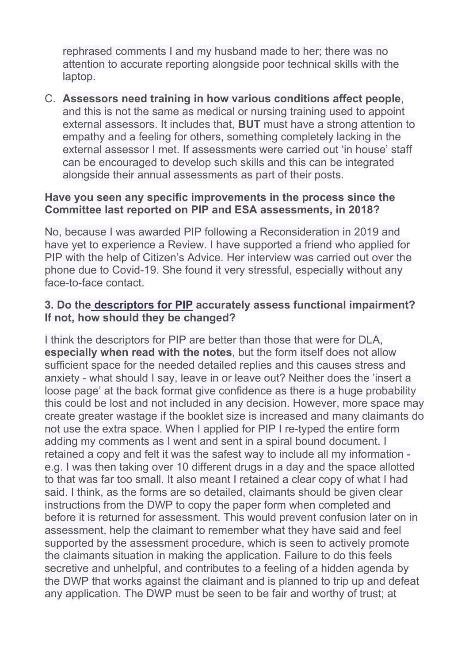rephrased comments I and my husband made to her; there was no attention to accurate reporting alongside poor technical skills with the laptop.

C. **Assessors need training in how various conditions affect people**, and this is not the same as medical or nursing training used to appoint external assessors. It includes that, **BUT** must have a strong attention to empathy and a feeling for others, something completely lacking in the external assessor I met. If assessments were carried out 'in house' staff can be encouraged to develop such skills and this can be integrated alongside their annual assessments as part of their posts.

### **Have you seen any specific improvements in the process since the Committee last reported on PIP and ESA assessments, in 2018?**

No, because I was awarded PIP following a Reconsideration in 2019 and have yet to experience a Review. I have supported a friend who applied for PIP with the help of Citizen's Advice. Her interview was carried out over the phone due to Covid-19. She found it very stressful, especially without any face-to-face contact.

## **3. Do the [descriptors](https://www.citizensadvice.org.uk/Global/Migrated_Documents/adviceguide/pip-9-table-of-activities-descriptors-and-points.pdf) [for](https://www.citizensadvice.org.uk/Global/Migrated_Documents/adviceguide/pip-9-table-of-activities-descriptors-and-points.pdf) [PIP](https://www.citizensadvice.org.uk/Global/Migrated_Documents/adviceguide/pip-9-table-of-activities-descriptors-and-points.pdf) accurately assess functional impairment? If not, how should they be changed?**

I think the descriptors for PIP are better than those that were for DLA, **especially when read with the notes**, but the form itself does not allow sufficient space for the needed detailed replies and this causes stress and anxiety - what should I say, leave in or leave out? Neither does the 'insert a loose page' at the back format give confidence as there is a huge probability this could be lost and not included in any decision. However, more space may create greater wastage if the booklet size is increased and many claimants do not use the extra space. When I applied for PIP I re-typed the entire form adding my comments as I went and sent in a spiral bound document. I retained a copy and felt it was the safest way to include all my information e.g. I was then taking over 10 different drugs in a day and the space allotted to that was far too small. It also meant I retained a clear copy of what I had said. I think, as the forms are so detailed, claimants should be given clear instructions from the DWP to copy the paper form when completed and before it is returned for assessment. This would prevent confusion later on in assessment, help the claimant to remember what they have said and feel supported by the assessment procedure, which is seen to actively promote the claimants situation in making the application. Failure to do this feels secretive and unhelpful, and contributes to a feeling of a hidden agenda by the DWP that works against the claimant and is planned to trip up and defeat any application. The DWP must be seen to be fair and worthy of trust; at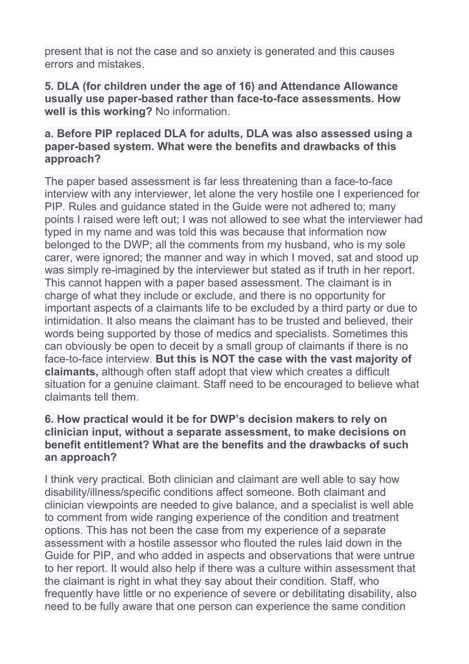present that is not the case and so anxiety is generated and this causes errors and mistakes.

### **5. DLA (for children under the age of 16) and Attendance Allowance usually use paper-based rather than face-to-face assessments. How well is this working?** No information.

### **a. Before PIP replaced DLA for adults, DLA was also assessed using a paper-based system. What were the benefits and drawbacks of this approach?**

The paper based assessment is far less threatening than a face-to-face interview with any interviewer, let alone the very hostile one I experienced for PIP. Rules and guidance stated in the Guide were not adhered to; many points I raised were left out; I was not allowed to see what the interviewer had typed in my name and was told this was because that information now belonged to the DWP; all the comments from my husband, who is my sole carer, were ignored; the manner and way in which I moved, sat and stood up was simply re-imagined by the interviewer but stated as if truth in her report. This cannot happen with a paper based assessment. The claimant is in charge of what they include or exclude, and there is no opportunity for important aspects of a claimants life to be excluded by a third party or due to intimidation. It also means the claimant has to be trusted and believed, their words being supported by those of medics and specialists. Sometimes this can obviously be open to deceit by a small group of claimants if there is no face-to-face interview. **But this is NOT the case with the vast majority of claimants,** although often staff adopt that view which creates a difficult situation for a genuine claimant. Staff need to be encouraged to believe what claimants tell them.

### **6. How practical would it be for DWP's decision makers to rely on clinician input, without a separate assessment, to make decisions on benefit entitlement? What are the benefits and the drawbacks of such an approach?**

I think very practical. Both clinician and claimant are well able to say how disability/illness/specific conditions affect someone. Both claimant and clinician viewpoints are needed to give balance, and a specialist is well able to comment from wide ranging experience of the condition and treatment options. This has not been the case from my experience of a separate assessment with a hostile assessor who flouted the rules laid down in the Guide for PIP, and who added in aspects and observations that were untrue to her report. It would also help if there was a culture within assessment that the claimant is right in what they say about their condition. Staff, who frequently have little or no experience of severe or debilitating disability, also need to be fully aware that one person can experience the same condition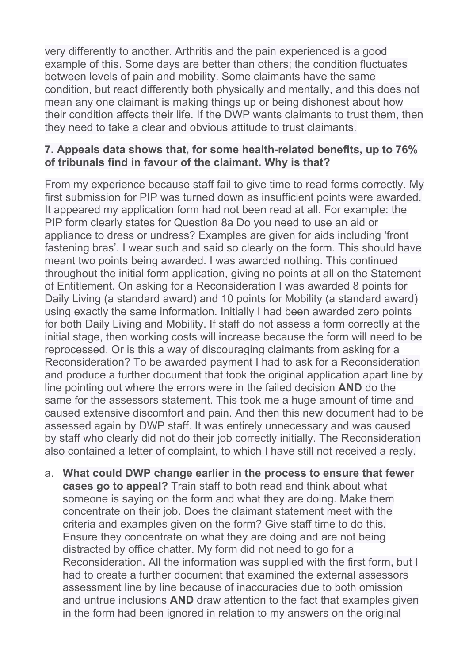very differently to another. Arthritis and the pain experienced is a good example of this. Some days are better than others; the condition fluctuates between levels of pain and mobility. Some claimants have the same condition, but react differently both physically and mentally, and this does not mean any one claimant is making things up or being dishonest about how their condition affects their life. If the DWP wants claimants to trust them, then they need to take a clear and obvious attitude to trust claimants.

## **7. Appeals data shows that, for some health-related benefits, up to 76% of tribunals find in favour of the claimant. Why is that?**

From my experience because staff fail to give time to read forms correctly. My first submission for PIP was turned down as insufficient points were awarded. It appeared my application form had not been read at all. For example: the PIP form clearly states for Question 8a Do you need to use an aid or appliance to dress or undress? Examples are given for aids including 'front fastening bras'. I wear such and said so clearly on the form. This should have meant two points being awarded. I was awarded nothing. This continued throughout the initial form application, giving no points at all on the Statement of Entitlement. On asking for a Reconsideration I was awarded 8 points for Daily Living (a standard award) and 10 points for Mobility (a standard award) using exactly the same information. Initially I had been awarded zero points for both Daily Living and Mobility. If staff do not assess a form correctly at the initial stage, then working costs will increase because the form will need to be reprocessed. Or is this a way of discouraging claimants from asking for a Reconsideration? To be awarded payment I had to ask for a Reconsideration and produce a further document that took the original application apart line by line pointing out where the errors were in the failed decision **AND** do the same for the assessors statement. This took me a huge amount of time and caused extensive discomfort and pain. And then this new document had to be assessed again by DWP staff. It was entirely unnecessary and was caused by staff who clearly did not do their job correctly initially. The Reconsideration also contained a letter of complaint, to which I have still not received a reply.

a. **What could DWP change earlier in the process to ensure that fewer cases go to appeal?** Train staff to both read and think about what someone is saying on the form and what they are doing. Make them concentrate on their job. Does the claimant statement meet with the criteria and examples given on the form? Give staff time to do this. Ensure they concentrate on what they are doing and are not being distracted by office chatter. My form did not need to go for a Reconsideration. All the information was supplied with the first form, but I had to create a further document that examined the external assessors assessment line by line because of inaccuracies due to both omission and untrue inclusions **AND** draw attention to the fact that examples given in the form had been ignored in relation to my answers on the original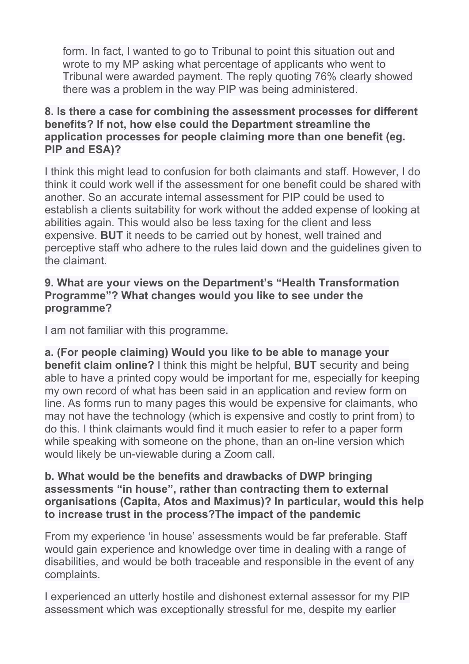form. In fact, I wanted to go to Tribunal to point this situation out and wrote to my MP asking what percentage of applicants who went to Tribunal were awarded payment. The reply quoting 76% clearly showed there was a problem in the way PIP was being administered.

## **8. Is there a case for combining the assessment processes for different benefits? If not, how else could the Department streamline the application processes for people claiming more than one benefit (eg. PIP and ESA)?**

I think this might lead to confusion for both claimants and staff. However, I do think it could work well if the assessment for one benefit could be shared with another. So an accurate internal assessment for PIP could be used to establish a clients suitability for work without the added expense of looking at abilities again. This would also be less taxing for the client and less expensive. **BUT** it needs to be carried out by honest, well trained and perceptive staff who adhere to the rules laid down and the guidelines given to the claimant.

## **9. What are your views on the Department's "Health Transformation Programme"? What changes would you like to see under the programme?**

I am not familiar with this programme.

**a. (For people claiming) Would you like to be able to manage your benefit claim online?** I think this might be helpful, **BUT** security and being able to have a printed copy would be important for me, especially for keeping my own record of what has been said in an application and review form on line. As forms run to many pages this would be expensive for claimants, who may not have the technology (which is expensive and costly to print from) to do this. I think claimants would find it much easier to refer to a paper form while speaking with someone on the phone, than an on-line version which would likely be un-viewable during a Zoom call.

### **b. What would be the benefits and drawbacks of DWP bringing assessments "in house", rather than contracting them to external organisations (Capita, Atos and Maximus)? In particular, would this help to increase trust in the process?The impact of the pandemic**

From my experience 'in house' assessments would be far preferable. Staff would gain experience and knowledge over time in dealing with a range of disabilities, and would be both traceable and responsible in the event of any complaints.

I experienced an utterly hostile and dishonest external assessor for my PIP assessment which was exceptionally stressful for me, despite my earlier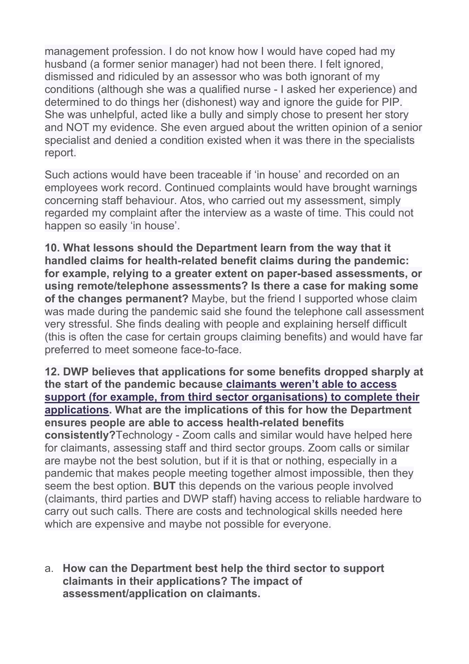management profession. I do not know how I would have coped had my husband (a former senior manager) had not been there. I felt ignored, dismissed and ridiculed by an assessor who was both ignorant of my conditions (although she was a qualified nurse - I asked her experience) and determined to do things her (dishonest) way and ignore the guide for PIP. She was unhelpful, acted like a bully and simply chose to present her story and NOT my evidence. She even argued about the written opinion of a senior specialist and denied a condition existed when it was there in the specialists report.

Such actions would have been traceable if 'in house' and recorded on an employees work record. Continued complaints would have brought warnings concerning staff behaviour. Atos, who carried out my assessment, simply regarded my complaint after the interview as a waste of time. This could not happen so easily 'in house'.

**10. What lessons should the Department learn from the way that it handled claims for health-related benefit claims during the pandemic: for example, relying to a greater extent on paper-based assessments, or using remote/telephone assessments? Is there a case for making some of the changes permanent?** Maybe, but the friend I supported whose claim was made during the pandemic said she found the telephone call assessment very stressful. She finds dealing with people and explaining herself difficult (this is often the case for certain groups claiming benefits) and would have far preferred to meet someone face-to-face.

**12. DWP believes that applications for some benefits dropped sharply at the start of the pandemic becaus[e](https://publications.parliament.uk/pa/cm5801/cmselect/cmworpen/732/73202.htm) [claimants](https://publications.parliament.uk/pa/cm5801/cmselect/cmworpen/732/73202.htm) [weren't](https://publications.parliament.uk/pa/cm5801/cmselect/cmworpen/732/73202.htm) [able](https://publications.parliament.uk/pa/cm5801/cmselect/cmworpen/732/73202.htm) [to](https://publications.parliament.uk/pa/cm5801/cmselect/cmworpen/732/73202.htm) [access](https://publications.parliament.uk/pa/cm5801/cmselect/cmworpen/732/73202.htm) [support](https://publications.parliament.uk/pa/cm5801/cmselect/cmworpen/732/73202.htm) [\(for](https://publications.parliament.uk/pa/cm5801/cmselect/cmworpen/732/73202.htm) [example,](https://publications.parliament.uk/pa/cm5801/cmselect/cmworpen/732/73202.htm) [from](https://publications.parliament.uk/pa/cm5801/cmselect/cmworpen/732/73202.htm) [third](https://publications.parliament.uk/pa/cm5801/cmselect/cmworpen/732/73202.htm) [sector](https://publications.parliament.uk/pa/cm5801/cmselect/cmworpen/732/73202.htm) [organisations\)](https://publications.parliament.uk/pa/cm5801/cmselect/cmworpen/732/73202.htm) [to](https://publications.parliament.uk/pa/cm5801/cmselect/cmworpen/732/73202.htm) [complete](https://publications.parliament.uk/pa/cm5801/cmselect/cmworpen/732/73202.htm) [their](https://publications.parliament.uk/pa/cm5801/cmselect/cmworpen/732/73202.htm) [applications](https://publications.parliament.uk/pa/cm5801/cmselect/cmworpen/732/73202.htm). What are the implications of this for how the Department ensures people are able to access health-related benefits consistently?**Technology - Zoom calls and similar would have helped here for claimants, assessing staff and third sector groups. Zoom calls or similar are maybe not the best solution, but if it is that or nothing, especially in a pandemic that makes people meeting together almost impossible, then they seem the best option. **BUT** this depends on the various people involved (claimants, third parties and DWP staff) having access to reliable hardware to carry out such calls. There are costs and technological skills needed here which are expensive and maybe not possible for everyone.

a. **How can the Department best help the third sector to support claimants in their applications? The impact of assessment/application on claimants.**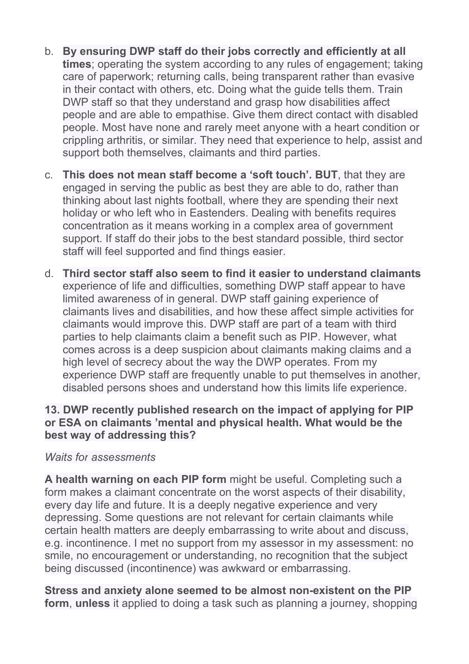- b. **By ensuring DWP staff do their jobs correctly and efficiently at all times**; operating the system according to any rules of engagement; taking care of paperwork; returning calls, being transparent rather than evasive in their contact with others, etc. Doing what the guide tells them. Train DWP staff so that they understand and grasp how disabilities affect people and are able to empathise. Give them direct contact with disabled people. Most have none and rarely meet anyone with a heart condition or crippling arthritis, or similar. They need that experience to help, assist and support both themselves, claimants and third parties.
- c. **This does not mean staff become a 'soft touch'. BUT**, that they are engaged in serving the public as best they are able to do, rather than thinking about last nights football, where they are spending their next holiday or who left who in Eastenders. Dealing with benefits requires concentration as it means working in a complex area of government support. If staff do their jobs to the best standard possible, third sector staff will feel supported and find things easier.
- d. **Third sector staff also seem to find it easier to understand claimants** experience of life and difficulties, something DWP staff appear to have limited awareness of in general. DWP staff gaining experience of claimants lives and disabilities, and how these affect simple activities for claimants would improve this. DWP staff are part of a team with third parties to help claimants claim a benefit such as PIP. However, what comes across is a deep suspicion about claimants making claims and a high level of secrecy about the way the DWP operates. From my experience DWP staff are frequently unable to put themselves in another, disabled persons shoes and understand how this limits life experience.

## **13. DWP recently published research on the impact of applying for PIP or ESA on claimants 'mental and physical health. What would be the best way of addressing this?**

#### *Waits for assessments*

**A health warning on each PIP form** might be useful. Completing such a form makes a claimant concentrate on the worst aspects of their disability, every day life and future. It is a deeply negative experience and very depressing. Some questions are not relevant for certain claimants while certain health matters are deeply embarrassing to write about and discuss, e.g. incontinence. I met no support from my assessor in my assessment: no smile, no encouragement or understanding, no recognition that the subject being discussed (incontinence) was awkward or embarrassing.

**Stress and anxiety alone seemed to be almost non-existent on the PIP form**, **unless** it applied to doing a task such as planning a journey, shopping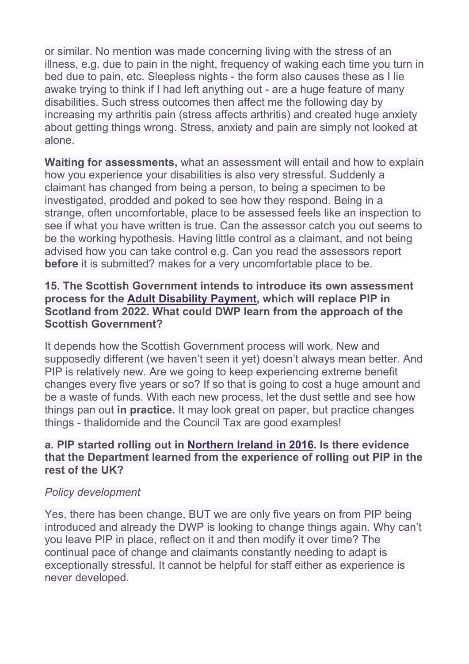or similar. No mention was made concerning living with the stress of an illness, e.g. due to pain in the night, frequency of waking each time you turn in bed due to pain, etc. Sleepless nights - the form also causes these as I lie awake trying to think if I had left anything out - are a huge feature of many disabilities. Such stress outcomes then affect me the following day by increasing my arthritis pain (stress affects arthritis) and created huge anxiety about getting things wrong. Stress, anxiety and pain are simply not looked at alone.

**Waiting for assessments,** what an assessment will entail and how to explain how you experience your disabilities is also very stressful. Suddenly a claimant has changed from being a person, to being a specimen to be investigated, prodded and poked to see how they respond. Being in a strange, often uncomfortable, place to be assessed feels like an inspection to see if what you have written is true. Can the assessor catch you out seems to be the working hypothesis. Having little control as a claimant, and not being advised how you can take control e.g. Can you read the assessors report **before** it is submitted? makes for a very uncomfortable place to be.

### **15. The Scottish Government intends to introduce its own assessment process for the [Adult](https://www.gov.scot/policies/social-security/benefits-disabled-people-ill-health/#ADP) [Disability](https://www.gov.scot/policies/social-security/benefits-disabled-people-ill-health/#ADP) [Payment,](https://www.gov.scot/policies/social-security/benefits-disabled-people-ill-health/#ADP) which will replace PIP in Scotland from 2022. What could DWP learn from the approach of the Scottish Government?**

It depends how the Scottish Government process will work. New and supposedly different (we haven't seen it yet) doesn't always mean better. And PIP is relatively new. Are we going to keep experiencing extreme benefit changes every five years or so? If so that is going to cost a huge amount and be a waste of funds. With each new process, let the dust settle and see how things pan out **in practice.** It may look great on paper, but practice changes things - thalidomide and the Council Tax are good examples!

## **a. PIP started rolling out in [Northern](https://www.niauditoffice.gov.uk/publications/management-and-delivery-personal-independence-payment-contract-northern-ireland) [Ireland](https://www.niauditoffice.gov.uk/publications/management-and-delivery-personal-independence-payment-contract-northern-ireland) [in](https://www.niauditoffice.gov.uk/publications/management-and-delivery-personal-independence-payment-contract-northern-ireland) [2016](https://www.niauditoffice.gov.uk/publications/management-and-delivery-personal-independence-payment-contract-northern-ireland). Is there evidence that the Department learned from the experience of rolling out PIP in the rest of the UK?**

# *Policy development*

Yes, there has been change, BUT we are only five years on from PIP being introduced and already the DWP is looking to change things again. Why can't you leave PIP in place, reflect on it and then modify it over time? The continual pace of change and claimants constantly needing to adapt is exceptionally stressful. It cannot be helpful for staff either as experience is never developed.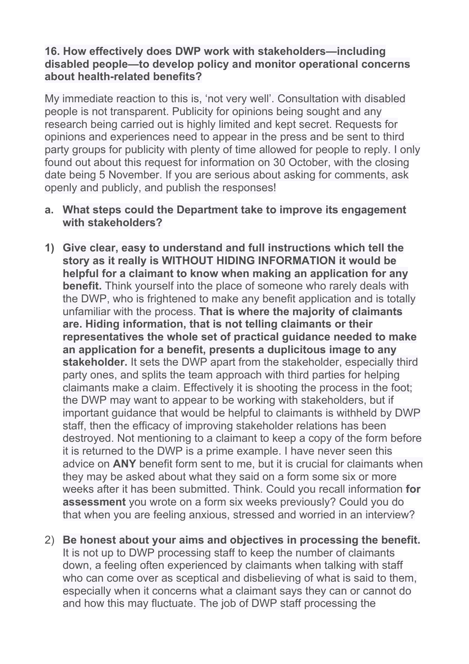## **16. How effectively does DWP work with stakeholders—including disabled people—to develop policy and monitor operational concerns about health-related benefits?**

My immediate reaction to this is, 'not very well'. Consultation with disabled people is not transparent. Publicity for opinions being sought and any research being carried out is highly limited and kept secret. Requests for opinions and experiences need to appear in the press and be sent to third party groups for publicity with plenty of time allowed for people to reply. I only found out about this request for information on 30 October, with the closing date being 5 November. If you are serious about asking for comments, ask openly and publicly, and publish the responses!

### **a. What steps could the Department take to improve its engagement with stakeholders?**

- **1) Give clear, easy to understand and full instructions which tell the story as it really is WITHOUT HIDING INFORMATION it would be helpful for a claimant to know when making an application for any benefit.** Think yourself into the place of someone who rarely deals with the DWP, who is frightened to make any benefit application and is totally unfamiliar with the process. **That is where the majority of claimants are. Hiding information, that is not telling claimants or their representatives the whole set of practical guidance needed to make an application for a benefit, presents a duplicitous image to any stakeholder.** It sets the DWP apart from the stakeholder, especially third party ones, and splits the team approach with third parties for helping claimants make a claim. Effectively it is shooting the process in the foot; the DWP may want to appear to be working with stakeholders, but if important guidance that would be helpful to claimants is withheld by DWP staff, then the efficacy of improving stakeholder relations has been destroyed. Not mentioning to a claimant to keep a copy of the form before it is returned to the DWP is a prime example. I have never seen this advice on **ANY** benefit form sent to me, but it is crucial for claimants when they may be asked about what they said on a form some six or more weeks after it has been submitted. Think. Could you recall information **for assessment** you wrote on a form six weeks previously? Could you do that when you are feeling anxious, stressed and worried in an interview?
- 2) **Be honest about your aims and objectives in processing the benefit.** It is not up to DWP processing staff to keep the number of claimants down, a feeling often experienced by claimants when talking with staff who can come over as sceptical and disbelieving of what is said to them, especially when it concerns what a claimant says they can or cannot do and how this may fluctuate. The job of DWP staff processing the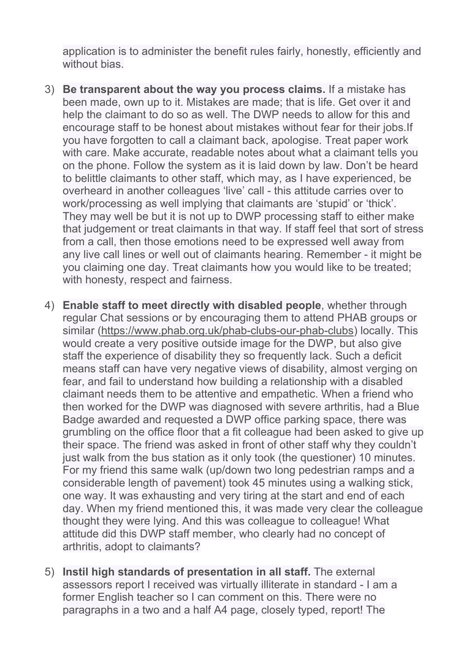application is to administer the benefit rules fairly, honestly, efficiently and without bias.

- 3) **Be transparent about the way you process claims.** If a mistake has been made, own up to it. Mistakes are made; that is life. Get over it and help the claimant to do so as well. The DWP needs to allow for this and encourage staff to be honest about mistakes without fear for their jobs.If you have forgotten to call a claimant back, apologise. Treat paper work with care. Make accurate, readable notes about what a claimant tells you on the phone. Follow the system as it is laid down by law. Don't be heard to belittle claimants to other staff, which may, as I have experienced, be overheard in another colleagues 'live' call - this attitude carries over to work/processing as well implying that claimants are 'stupid' or 'thick'. They may well be but it is not up to DWP processing staff to either make that judgement or treat claimants in that way. If staff feel that sort of stress from a call, then those emotions need to be expressed well away from any live call lines or well out of claimants hearing. Remember - it might be you claiming one day. Treat claimants how you would like to be treated; with honesty, respect and fairness.
- 4) **Enable staff to meet directly with disabled people**, whether through regular Chat sessions or by encouraging them to attend PHAB groups or similar (<https://www.phab.org.uk/phab-clubs-our-phab-clubs>) locally. This would create a very positive outside image for the DWP, but also give staff the experience of disability they so frequently lack. Such a deficit means staff can have very negative views of disability, almost verging on fear, and fail to understand how building a relationship with a disabled claimant needs them to be attentive and empathetic. When a friend who then worked for the DWP was diagnosed with severe arthritis, had a Blue Badge awarded and requested a DWP office parking space, there was grumbling on the office floor that a fit colleague had been asked to give up their space. The friend was asked in front of other staff why they couldn't just walk from the bus station as it only took (the questioner) 10 minutes. For my friend this same walk (up/down two long pedestrian ramps and a considerable length of pavement) took 45 minutes using a walking stick, one way. It was exhausting and very tiring at the start and end of each day. When my friend mentioned this, it was made very clear the colleague thought they were lying. And this was colleague to colleague! What attitude did this DWP staff member, who clearly had no concept of arthritis, adopt to claimants?
- 5) **Instil high standards of presentation in all staff.** The external assessors report I received was virtually illiterate in standard - I am a former English teacher so I can comment on this. There were no paragraphs in a two and a half A4 page, closely typed, report! The